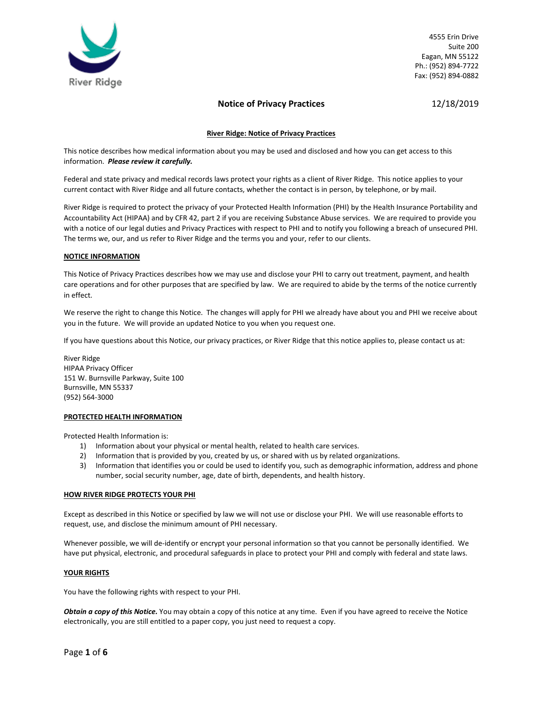

# **Notice of Privacy Practices** 12/18/2019

## **River Ridge: Notice of Privacy Practices**

This notice describes how medical information about you may be used and disclosed and how you can get access to this information. *Please review it carefully.*

Federal and state privacy and medical records laws protect your rights as a client of River Ridge. This notice applies to your current contact with River Ridge and all future contacts, whether the contact is in person, by telephone, or by mail.

River Ridge is required to protect the privacy of your Protected Health Information (PHI) by the Health Insurance Portability and Accountability Act (HIPAA) and by CFR 42, part 2 if you are receiving Substance Abuse services. We are required to provide you with a notice of our legal duties and Privacy Practices with respect to PHI and to notify you following a breach of unsecured PHI. The terms we, our, and us refer to River Ridge and the terms you and your, refer to our clients.

## **NOTICE INFORMATION**

This Notice of Privacy Practices describes how we may use and disclose your PHI to carry out treatment, payment, and health care operations and for other purposes that are specified by law. We are required to abide by the terms of the notice currently in effect.

We reserve the right to change this Notice. The changes will apply for PHI we already have about you and PHI we receive about you in the future. We will provide an updated Notice to you when you request one.

If you have questions about this Notice, our privacy practices, or River Ridge that this notice applies to, please contact us at:

River Ridge HIPAA Privacy Officer 151 W. Burnsville Parkway, Suite 100 Burnsville, MN 55337 (952) 564-3000

## **PROTECTED HEALTH INFORMATION**

Protected Health Information is:

- 1) Information about your physical or mental health, related to health care services.
- 2) Information that is provided by you, created by us, or shared with us by related organizations.
- 3) Information that identifies you or could be used to identify you, such as demographic information, address and phone number, social security number, age, date of birth, dependents, and health history.

#### **HOW RIVER RIDGE PROTECTS YOUR PHI**

Except as described in this Notice or specified by law we will not use or disclose your PHI. We will use reasonable efforts to request, use, and disclose the minimum amount of PHI necessary.

Whenever possible, we will de-identify or encrypt your personal information so that you cannot be personally identified. We have put physical, electronic, and procedural safeguards in place to protect your PHI and comply with federal and state laws.

#### **YOUR RIGHTS**

You have the following rights with respect to your PHI.

*Obtain a copy of this Notice.* You may obtain a copy of this notice at any time. Even if you have agreed to receive the Notice electronically, you are still entitled to a paper copy, you just need to request a copy.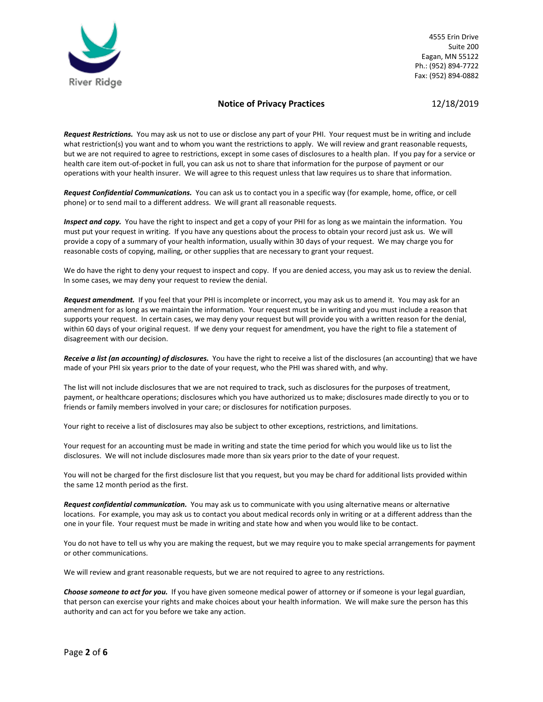

# **Notice of Privacy Practices** 12/18/2019

*Request Restrictions.* You may ask us not to use or disclose any part of your PHI. Your request must be in writing and include what restriction(s) you want and to whom you want the restrictions to apply. We will review and grant reasonable requests, but we are not required to agree to restrictions, except in some cases of disclosures to a health plan. If you pay for a service or health care item out-of-pocket in full, you can ask us not to share that information for the purpose of payment or our operations with your health insurer. We will agree to this request unless that law requires us to share that information.

*Request Confidential Communications.* You can ask us to contact you in a specific way (for example, home, office, or cell phone) or to send mail to a different address. We will grant all reasonable requests.

*Inspect and copy.* You have the right to inspect and get a copy of your PHI for as long as we maintain the information. You must put your request in writing. If you have any questions about the process to obtain your record just ask us. We will provide a copy of a summary of your health information, usually within 30 days of your request. We may charge you for reasonable costs of copying, mailing, or other supplies that are necessary to grant your request.

We do have the right to deny your request to inspect and copy. If you are denied access, you may ask us to review the denial. In some cases, we may deny your request to review the denial.

*Request amendment.* If you feel that your PHI is incomplete or incorrect, you may ask us to amend it. You may ask for an amendment for as long as we maintain the information. Your request must be in writing and you must include a reason that supports your request. In certain cases, we may deny your request but will provide you with a written reason for the denial, within 60 days of your original request. If we deny your request for amendment, you have the right to file a statement of disagreement with our decision.

*Receive a list (an accounting) of disclosures.* You have the right to receive a list of the disclosures (an accounting) that we have made of your PHI six years prior to the date of your request, who the PHI was shared with, and why.

The list will not include disclosures that we are not required to track, such as disclosures for the purposes of treatment, payment, or healthcare operations; disclosures which you have authorized us to make; disclosures made directly to you or to friends or family members involved in your care; or disclosures for notification purposes.

Your right to receive a list of disclosures may also be subject to other exceptions, restrictions, and limitations.

Your request for an accounting must be made in writing and state the time period for which you would like us to list the disclosures. We will not include disclosures made more than six years prior to the date of your request.

You will not be charged for the first disclosure list that you request, but you may be chard for additional lists provided within the same 12 month period as the first.

*Request confidential communication.* You may ask us to communicate with you using alternative means or alternative locations. For example, you may ask us to contact you about medical records only in writing or at a different address than the one in your file. Your request must be made in writing and state how and when you would like to be contact.

You do not have to tell us why you are making the request, but we may require you to make special arrangements for payment or other communications.

We will review and grant reasonable requests, but we are not required to agree to any restrictions.

*Choose someone to act for you.* If you have given someone medical power of attorney or if someone is your legal guardian, that person can exercise your rights and make choices about your health information. We will make sure the person has this authority and can act for you before we take any action.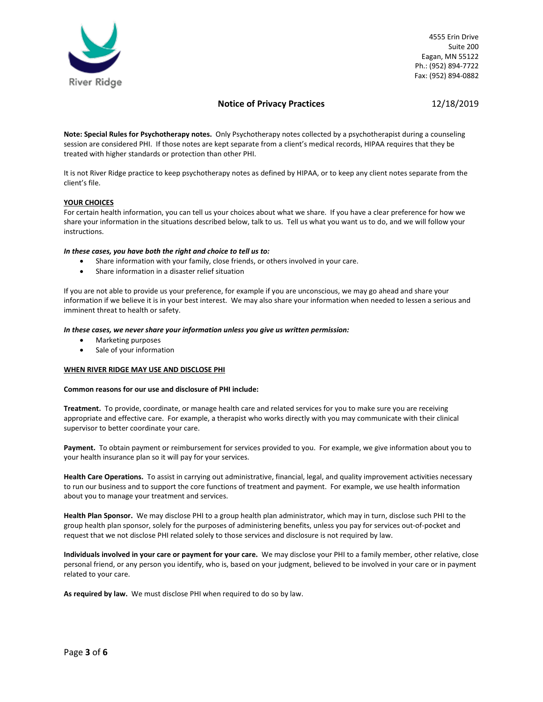

# **Notice of Privacy Practices** 12/18/2019

**Note: Special Rules for Psychotherapy notes.** Only Psychotherapy notes collected by a psychotherapist during a counseling session are considered PHI. If those notes are kept separate from a client's medical records, HIPAA requires that they be treated with higher standards or protection than other PHI.

It is not River Ridge practice to keep psychotherapy notes as defined by HIPAA, or to keep any client notes separate from the client's file.

## **YOUR CHOICES**

For certain health information, you can tell us your choices about what we share. If you have a clear preference for how we share your information in the situations described below, talk to us. Tell us what you want us to do, and we will follow your instructions.

## *In these cases, you have both the right and choice to tell us to:*

- Share information with your family, close friends, or others involved in your care.
- Share information in a disaster relief situation

If you are not able to provide us your preference, for example if you are unconscious, we may go ahead and share your information if we believe it is in your best interest. We may also share your information when needed to lessen a serious and imminent threat to health or safety.

#### *In these cases, we never share your information unless you give us written permission:*

- Marketing purposes
- Sale of your information

## **WHEN RIVER RIDGE MAY USE AND DISCLOSE PHI**

#### **Common reasons for our use and disclosure of PHI include:**

**Treatment.** To provide, coordinate, or manage health care and related services for you to make sure you are receiving appropriate and effective care. For example, a therapist who works directly with you may communicate with their clinical supervisor to better coordinate your care.

**Payment.** To obtain payment or reimbursement for services provided to you. For example, we give information about you to your health insurance plan so it will pay for your services.

**Health Care Operations.** To assist in carrying out administrative, financial, legal, and quality improvement activities necessary to run our business and to support the core functions of treatment and payment. For example, we use health information about you to manage your treatment and services.

**Health Plan Sponsor.** We may disclose PHI to a group health plan administrator, which may in turn, disclose such PHI to the group health plan sponsor, solely for the purposes of administering benefits, unless you pay for services out-of-pocket and request that we not disclose PHI related solely to those services and disclosure is not required by law.

**Individuals involved in your care or payment for your care.** We may disclose your PHI to a family member, other relative, close personal friend, or any person you identify, who is, based on your judgment, believed to be involved in your care or in payment related to your care.

**As required by law.** We must disclose PHI when required to do so by law.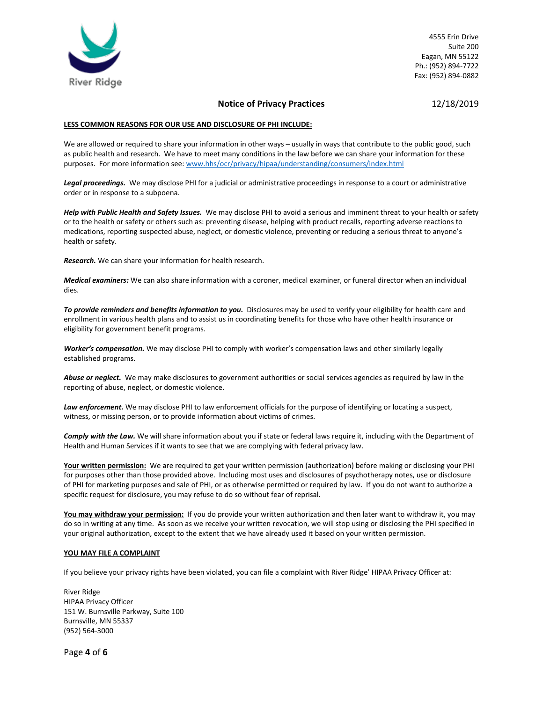

## **Notice of Privacy Practices** 12/18/2019

## **LESS COMMON REASONS FOR OUR USE AND DISCLOSURE OF PHI INCLUDE:**

We are allowed or required to share your information in other ways – usually in ways that contribute to the public good, such as public health and research. We have to meet many conditions in the law before we can share your information for these purposes. For more information see: [www.hhs/ocr/privacy/hipaa/understanding/consumers/index.html](http://www.hhs/ocr/privacy/hipaa/understanding/consumers/index.html)

*Legal proceedings.* We may disclose PHI for a judicial or administrative proceedings in response to a court or administrative order or in response to a subpoena.

*Help with Public Health and Safety Issues.* We may disclose PHI to avoid a serious and imminent threat to your health or safety or to the health or safety or others such as: preventing disease, helping with product recalls, reporting adverse reactions to medications, reporting suspected abuse, neglect, or domestic violence, preventing or reducing a serious threat to anyone's health or safety.

*Research.* We can share your information for health research.

*Medical examiners:* We can also share information with a coroner, medical examiner, or funeral director when an individual dies.

*To provide reminders and benefits information to you.* Disclosures may be used to verify your eligibility for health care and enrollment in various health plans and to assist us in coordinating benefits for those who have other health insurance or eligibility for government benefit programs.

*Worker's compensation.* We may disclose PHI to comply with worker's compensation laws and other similarly legally established programs.

*Abuse or neglect.* We may make disclosures to government authorities or social services agencies as required by law in the reporting of abuse, neglect, or domestic violence.

Law enforcement. We may disclose PHI to law enforcement officials for the purpose of identifying or locating a suspect, witness, or missing person, or to provide information about victims of crimes.

*Comply with the Law.* We will share information about you if state or federal laws require it, including with the Department of Health and Human Services if it wants to see that we are complying with federal privacy law.

**Your written permission:** We are required to get your written permission (authorization) before making or disclosing your PHI for purposes other than those provided above. Including most uses and disclosures of psychotherapy notes, use or disclosure of PHI for marketing purposes and sale of PHI, or as otherwise permitted or required by law. If you do not want to authorize a specific request for disclosure, you may refuse to do so without fear of reprisal.

**You may withdraw your permission:** If you do provide your written authorization and then later want to withdraw it, you may do so in writing at any time. As soon as we receive your written revocation, we will stop using or disclosing the PHI specified in your original authorization, except to the extent that we have already used it based on your written permission.

## **YOU MAY FILE A COMPLAINT**

If you believe your privacy rights have been violated, you can file a complaint with River Ridge' HIPAA Privacy Officer at:

River Ridge HIPAA Privacy Officer 151 W. Burnsville Parkway, Suite 100 Burnsville, MN 55337 (952) 564-3000

Page **4** of **6**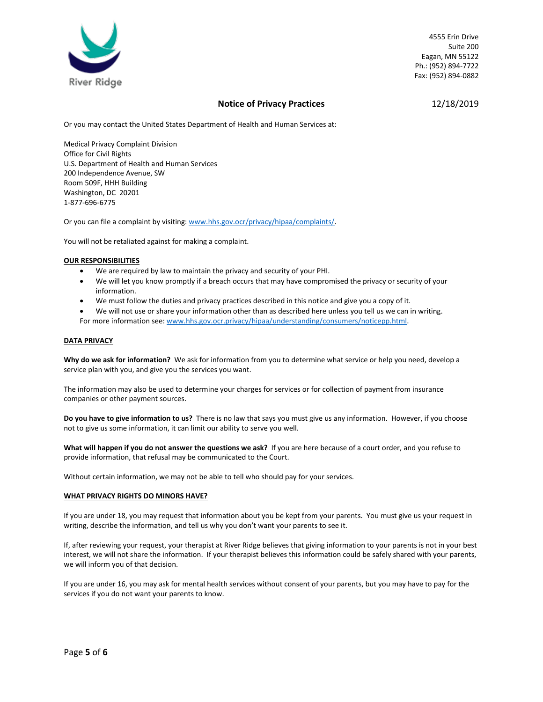

# **Notice of Privacy Practices** 12/18/2019

Or you may contact the United States Department of Health and Human Services at:

Medical Privacy Complaint Division Office for Civil Rights U.S. Department of Health and Human Services 200 Independence Avenue, SW Room 509F, HHH Building Washington, DC 20201 1-877-696-6775

Or you can file a complaint by visiting: [www.hhs.gov.ocr/privacy/hipaa/complaints/.](http://www.hhs.gov.ocr/privacy/hipaa/complaints/)

You will not be retaliated against for making a complaint.

## **OUR RESPONSIBILITIES**

- We are required by law to maintain the privacy and security of your PHI.
- We will let you know promptly if a breach occurs that may have compromised the privacy or security of your information.
- We must follow the duties and privacy practices described in this notice and give you a copy of it.
- We will not use or share your information other than as described here unless you tell us we can in writing. For more information see: [www.hhs.gov.ocr.privacy/hipaa/understanding/consumers/noticepp.html.](http://www.hhs.gov.ocr.privacy/hipaa/understanding/consumers/noticepp.html)

## **DATA PRIVACY**

**Why do we ask for information?** We ask for information from you to determine what service or help you need, develop a service plan with you, and give you the services you want.

The information may also be used to determine your charges for services or for collection of payment from insurance companies or other payment sources.

**Do you have to give information to us?** There is no law that says you must give us any information. However, if you choose not to give us some information, it can limit our ability to serve you well.

**What will happen if you do not answer the questions we ask?** If you are here because of a court order, and you refuse to provide information, that refusal may be communicated to the Court.

Without certain information, we may not be able to tell who should pay for your services.

## **WHAT PRIVACY RIGHTS DO MINORS HAVE?**

If you are under 18, you may request that information about you be kept from your parents. You must give us your request in writing, describe the information, and tell us why you don't want your parents to see it.

If, after reviewing your request, your therapist at River Ridge believes that giving information to your parents is not in your best interest, we will not share the information. If your therapist believes this information could be safely shared with your parents, we will inform you of that decision.

If you are under 16, you may ask for mental health services without consent of your parents, but you may have to pay for the services if you do not want your parents to know.